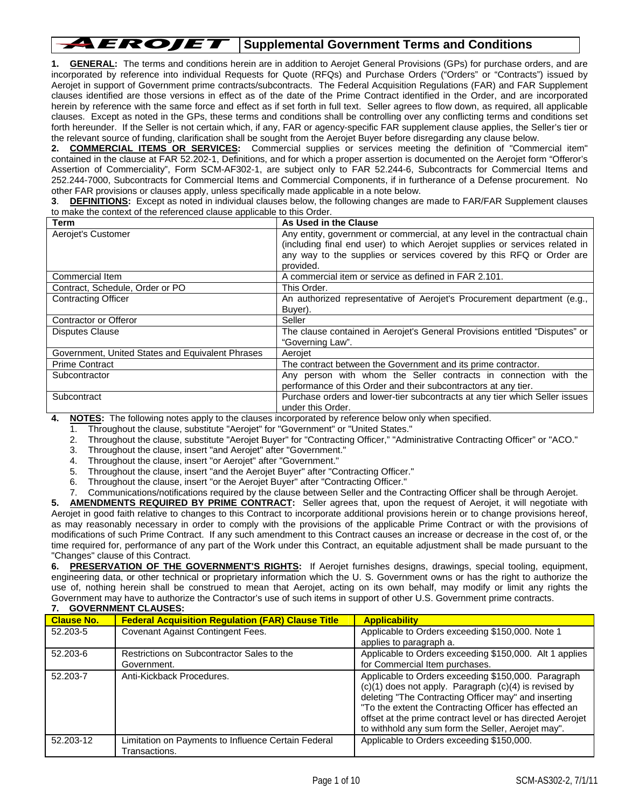## AEROJET **Supplemental Government Terms and Conditions**

**1. GENERAL:** The terms and conditions herein are in addition to Aerojet General Provisions (GPs) for purchase orders, and are incorporated by reference into individual Requests for Quote (RFQs) and Purchase Orders ("Orders" or "Contracts") issued by Aerojet in support of Government prime contracts/subcontracts. The Federal Acquisition Regulations (FAR) and FAR Supplement clauses identified are those versions in effect as of the date of the Prime Contract identified in the Order, and are incorporated herein by reference with the same force and effect as if set forth in full text. Seller agrees to flow down, as required, all applicable clauses. Except as noted in the GPs, these terms and conditions shall be controlling over any conflicting terms and conditions set forth hereunder. If the Seller is not certain which, if any, FAR or agency-specific FAR supplement clause applies, the Seller's tier or the relevant source of funding, clarification shall be sought from the Aerojet Buyer before disregarding any clause below.

**2. COMMERCIAL ITEMS OR SERVICES:** Commercial supplies or services meeting the definition of "Commercial item" contained in the clause at FAR 52.202-1, Definitions, and for which a proper assertion is documented on the Aerojet form "Offeror's Assertion of Commerciality", Form SCM-AF302-1, are subject only to FAR 52.244-6, Subcontracts for Commercial Items and 252.244-7000, Subcontracts for Commercial Items and Commercial Components, if in furtherance of a Defense procurement. No other FAR provisions or clauses apply, unless specifically made applicable in a note below.

**3**. **DEFINITIONS:** Except as noted in individual clauses below, the following changes are made to FAR/FAR Supplement clauses to make the context of the referenced clause applicable to this Order.

| Term                                             | As Used in the Clause                                                       |
|--------------------------------------------------|-----------------------------------------------------------------------------|
| Aerojet's Customer                               | Any entity, government or commercial, at any level in the contractual chain |
|                                                  | (including final end user) to which Aerojet supplies or services related in |
|                                                  | any way to the supplies or services covered by this RFQ or Order are        |
|                                                  | provided.                                                                   |
| Commercial Item                                  | A commercial item or service as defined in FAR 2.101.                       |
| Contract, Schedule, Order or PO                  | This Order.                                                                 |
| <b>Contracting Officer</b>                       | An authorized representative of Aerojet's Procurement department (e.g.,     |
|                                                  | Buyer).                                                                     |
| Contractor or Offeror                            | Seller                                                                      |
| <b>Disputes Clause</b>                           | The clause contained in Aerojet's General Provisions entitled "Disputes" or |
|                                                  | "Governing Law".                                                            |
| Government, United States and Equivalent Phrases | Aeroiet                                                                     |
| <b>Prime Contract</b>                            | The contract between the Government and its prime contractor.               |
| Subcontractor                                    | Any person with whom the Seller contracts in connection with the            |
|                                                  | performance of this Order and their subcontractors at any tier.             |
| Subcontract                                      | Purchase orders and lower-tier subcontracts at any tier which Seller issues |
|                                                  | under this Order.                                                           |
|                                                  |                                                                             |

**4. NOTES:** The following notes apply to the clauses incorporated by reference below only when specified.

1. Throughout the clause, substitute "Aerojet" for "Government" or "United States."

- 2. Throughout the clause, substitute "Aerojet Buyer" for "Contracting Officer," "Administrative Contracting Officer" or "ACO."
- 3. Throughout the clause, insert "and Aerojet" after "Government."
- 4. Throughout the clause, insert "or Aerojet" after "Government."
- 5. Throughout the clause, insert "and the Aerojet Buyer" after "Contracting Officer."
- 6. Throughout the clause, insert "or the Aerojet Buyer" after "Contracting Officer."

7. Communications/notifications required by the clause between Seller and the Contracting Officer shall be through Aerojet.

**5. AMENDMENTS REQUIRED BY PRIME CONTRACT:** Seller agrees that, upon the request of Aerojet, it will negotiate with Aerojet in good faith relative to changes to this Contract to incorporate additional provisions herein or to change provisions hereof, as may reasonably necessary in order to comply with the provisions of the applicable Prime Contract or with the provisions of modifications of such Prime Contract. If any such amendment to this Contract causes an increase or decrease in the cost of, or the time required for, performance of any part of the Work under this Contract, an equitable adjustment shall be made pursuant to the "Changes" clause of this Contract.

**6. PRESERVATION OF THE GOVERNMENT'S RIGHTS:** If Aerojet furnishes designs, drawings, special tooling, equipment, engineering data, or other technical or proprietary information which the U. S. Government owns or has the right to authorize the use of, nothing herein shall be construed to mean that Aerojet, acting on its own behalf, may modify or limit any rights the Government may have to authorize the Contractor's use of such items in support of other U.S. Government prime contracts. **7. GOVERNMENT CLAUSES:**

| <b>Clause No.</b> | <b>Federal Acquisition Regulation (FAR) Clause Title</b>             | <b>Applicability</b>                                                                                                                                                                                                                                                                                                                               |
|-------------------|----------------------------------------------------------------------|----------------------------------------------------------------------------------------------------------------------------------------------------------------------------------------------------------------------------------------------------------------------------------------------------------------------------------------------------|
| 52.203-5          | Covenant Against Contingent Fees.                                    | Applicable to Orders exceeding \$150,000. Note 1                                                                                                                                                                                                                                                                                                   |
|                   |                                                                      | applies to paragraph a.                                                                                                                                                                                                                                                                                                                            |
| 52.203-6          | Restrictions on Subcontractor Sales to the                           | Applicable to Orders exceeding \$150,000. Alt 1 applies                                                                                                                                                                                                                                                                                            |
|                   | Government.                                                          | for Commercial Item purchases.                                                                                                                                                                                                                                                                                                                     |
| 52.203-7          | Anti-Kickback Procedures.                                            | Applicable to Orders exceeding \$150,000. Paragraph<br>(c)(1) does not apply. Paragraph (c)(4) is revised by<br>deleting "The Contracting Officer may" and inserting<br>"To the extent the Contracting Officer has effected an<br>offset at the prime contract level or has directed Aerojet<br>to withhold any sum form the Seller, Aerojet may". |
| 52.203-12         | Limitation on Payments to Influence Certain Federal<br>Transactions. | Applicable to Orders exceeding \$150,000.                                                                                                                                                                                                                                                                                                          |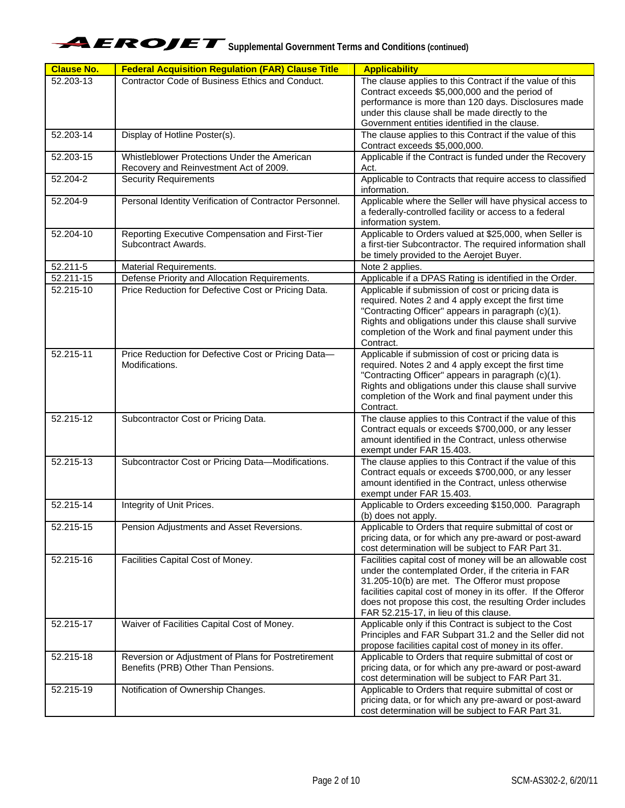

| <b>Clause No.</b>      | <b>Federal Acquisition Regulation (FAR) Clause Title</b>                                   | <b>Applicability</b>                                                                                                                                                                                                                                                                                                                        |
|------------------------|--------------------------------------------------------------------------------------------|---------------------------------------------------------------------------------------------------------------------------------------------------------------------------------------------------------------------------------------------------------------------------------------------------------------------------------------------|
| 52.203-13              | Contractor Code of Business Ethics and Conduct.                                            | The clause applies to this Contract if the value of this<br>Contract exceeds \$5,000,000 and the period of<br>performance is more than 120 days. Disclosures made<br>under this clause shall be made directly to the<br>Government entities identified in the clause.                                                                       |
| 52.203-14              | Display of Hotline Poster(s).                                                              | The clause applies to this Contract if the value of this<br>Contract exceeds \$5,000,000.                                                                                                                                                                                                                                                   |
| 52.203-15              | Whistleblower Protections Under the American<br>Recovery and Reinvestment Act of 2009.     | Applicable if the Contract is funded under the Recovery<br>Act.                                                                                                                                                                                                                                                                             |
| $\overline{52.204}$ -2 | <b>Security Requirements</b>                                                               | Applicable to Contracts that require access to classified<br>information.                                                                                                                                                                                                                                                                   |
| 52.204-9               | Personal Identity Verification of Contractor Personnel.                                    | Applicable where the Seller will have physical access to<br>a federally-controlled facility or access to a federal<br>information system.                                                                                                                                                                                                   |
| 52.204-10              | Reporting Executive Compensation and First-Tier<br>Subcontract Awards.                     | Applicable to Orders valued at \$25,000, when Seller is<br>a first-tier Subcontractor. The required information shall<br>be timely provided to the Aerojet Buyer.                                                                                                                                                                           |
| 52.211-5               | Material Requirements.                                                                     | Note 2 applies.                                                                                                                                                                                                                                                                                                                             |
| 52.211-15              | Defense Priority and Allocation Requirements.                                              | Applicable if a DPAS Rating is identified in the Order.                                                                                                                                                                                                                                                                                     |
| 52.215-10              | Price Reduction for Defective Cost or Pricing Data.                                        | Applicable if submission of cost or pricing data is<br>required. Notes 2 and 4 apply except the first time<br>"Contracting Officer" appears in paragraph (c)(1).<br>Rights and obligations under this clause shall survive<br>completion of the Work and final payment under this<br>Contract.                                              |
| 52.215-11              | Price Reduction for Defective Cost or Pricing Data-<br>Modifications.                      | Applicable if submission of cost or pricing data is<br>required. Notes 2 and 4 apply except the first time<br>"Contracting Officer" appears in paragraph (c)(1).<br>Rights and obligations under this clause shall survive<br>completion of the Work and final payment under this<br>Contract.                                              |
| 52.215-12              | Subcontractor Cost or Pricing Data.                                                        | The clause applies to this Contract if the value of this<br>Contract equals or exceeds \$700,000, or any lesser<br>amount identified in the Contract, unless otherwise<br>exempt under FAR 15.403.                                                                                                                                          |
| 52.215-13              | Subcontractor Cost or Pricing Data-Modifications.                                          | The clause applies to this Contract if the value of this<br>Contract equals or exceeds \$700,000, or any lesser<br>amount identified in the Contract, unless otherwise<br>exempt under FAR 15.403.                                                                                                                                          |
| 52.215-14              | Integrity of Unit Prices.                                                                  | Applicable to Orders exceeding \$150,000. Paragraph<br>(b) does not apply.                                                                                                                                                                                                                                                                  |
| 52.215-15              | Pension Adjustments and Asset Reversions.                                                  | Applicable to Orders that require submittal of cost or<br>pricing data, or for which any pre-award or post-award<br>cost determination will be subject to FAR Part 31.                                                                                                                                                                      |
| 52.215-16              | Facilities Capital Cost of Money.                                                          | Facilities capital cost of money will be an allowable cost<br>under the contemplated Order, if the criteria in FAR<br>31.205-10(b) are met. The Offeror must propose<br>facilities capital cost of money in its offer. If the Offeror<br>does not propose this cost, the resulting Order includes<br>FAR 52.215-17, in lieu of this clause. |
| 52.215-17              | Waiver of Facilities Capital Cost of Money.                                                | Applicable only if this Contract is subject to the Cost<br>Principles and FAR Subpart 31.2 and the Seller did not<br>propose facilities capital cost of money in its offer.                                                                                                                                                                 |
| 52.215-18              | Reversion or Adjustment of Plans for Postretirement<br>Benefits (PRB) Other Than Pensions. | Applicable to Orders that require submittal of cost or<br>pricing data, or for which any pre-award or post-award<br>cost determination will be subject to FAR Part 31.                                                                                                                                                                      |
| 52.215-19              | Notification of Ownership Changes.                                                         | Applicable to Orders that require submittal of cost or<br>pricing data, or for which any pre-award or post-award<br>cost determination will be subject to FAR Part 31.                                                                                                                                                                      |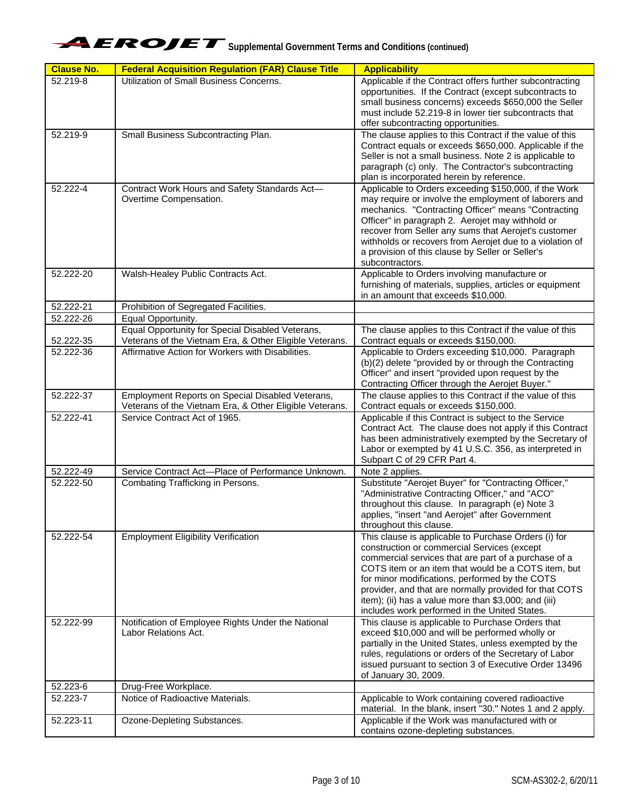

| <b>Clause No.</b> | <b>Federal Acquisition Regulation (FAR) Clause Title</b>                                                    | <b>Applicability</b>                                                                                                                                                                                                                                                                                                                                                                                                                    |
|-------------------|-------------------------------------------------------------------------------------------------------------|-----------------------------------------------------------------------------------------------------------------------------------------------------------------------------------------------------------------------------------------------------------------------------------------------------------------------------------------------------------------------------------------------------------------------------------------|
| 52.219-8          | Utilization of Small Business Concerns.                                                                     | Applicable if the Contract offers further subcontracting<br>opportunities. If the Contract (except subcontracts to<br>small business concerns) exceeds \$650,000 the Seller<br>must include 52.219-8 in lower tier subcontracts that<br>offer subcontracting opportunities.                                                                                                                                                             |
| 52.219-9          | Small Business Subcontracting Plan.                                                                         | The clause applies to this Contract if the value of this<br>Contract equals or exceeds \$650,000. Applicable if the<br>Seller is not a small business. Note 2 is applicable to<br>paragraph (c) only. The Contractor's subcontracting<br>plan is incorporated herein by reference.                                                                                                                                                      |
| 52.222-4          | Contract Work Hours and Safety Standards Act-<br>Overtime Compensation.                                     | Applicable to Orders exceeding \$150,000, if the Work<br>may require or involve the employment of laborers and<br>mechanics. "Contracting Officer" means "Contracting<br>Officer" in paragraph 2. Aerojet may withhold or<br>recover from Seller any sums that Aerojet's customer<br>withholds or recovers from Aerojet due to a violation of<br>a provision of this clause by Seller or Seller's<br>subcontractors.                    |
| 52.222-20         | Walsh-Healey Public Contracts Act.                                                                          | Applicable to Orders involving manufacture or<br>furnishing of materials, supplies, articles or equipment<br>in an amount that exceeds \$10,000.                                                                                                                                                                                                                                                                                        |
| 52.222-21         | Prohibition of Segregated Facilities.                                                                       |                                                                                                                                                                                                                                                                                                                                                                                                                                         |
| 52.222-26         | Equal Opportunity.                                                                                          |                                                                                                                                                                                                                                                                                                                                                                                                                                         |
| 52.222-35         | Equal Opportunity for Special Disabled Veterans,<br>Veterans of the Vietnam Era, & Other Eligible Veterans. | The clause applies to this Contract if the value of this<br>Contract equals or exceeds \$150,000.                                                                                                                                                                                                                                                                                                                                       |
| 52.222-36         | Affirmative Action for Workers with Disabilities.                                                           | Applicable to Orders exceeding \$10,000. Paragraph<br>(b)(2) delete "provided by or through the Contracting<br>Officer" and insert "provided upon request by the<br>Contracting Officer through the Aerojet Buyer."                                                                                                                                                                                                                     |
| 52.222-37         | Employment Reports on Special Disabled Veterans,<br>Veterans of the Vietnam Era, & Other Eligible Veterans. | The clause applies to this Contract if the value of this<br>Contract equals or exceeds \$150,000.                                                                                                                                                                                                                                                                                                                                       |
| 52.222-41         | Service Contract Act of 1965.                                                                               | Applicable if this Contract is subject to the Service<br>Contract Act. The clause does not apply if this Contract<br>has been administratively exempted by the Secretary of<br>Labor or exempted by 41 U.S.C. 356, as interpreted in<br>Subpart C of 29 CFR Part 4.                                                                                                                                                                     |
| 52.222-49         | Service Contract Act-Place of Performance Unknown.                                                          | Note 2 applies.                                                                                                                                                                                                                                                                                                                                                                                                                         |
| 52.222-50         | Combating Trafficking in Persons.                                                                           | Substitute "Aerojet Buyer" for "Contracting Officer,"<br>"Administrative Contracting Officer," and "ACO"<br>throughout this clause. In paragraph (e) Note 3<br>applies, "insert "and Aerojet" after Government<br>throughout this clause.                                                                                                                                                                                               |
| 52.222-54         | <b>Employment Eligibility Verification</b>                                                                  | This clause is applicable to Purchase Orders (i) for<br>construction or commercial Services (except<br>commercial services that are part of a purchase of a<br>COTS item or an item that would be a COTS item, but<br>for minor modifications, performed by the COTS<br>provider, and that are normally provided for that COTS<br>item); (ii) has a value more than \$3,000; and (iii)<br>includes work performed in the United States. |
| 52.222-99         | Notification of Employee Rights Under the National<br>Labor Relations Act.                                  | This clause is applicable to Purchase Orders that<br>exceed \$10,000 and will be performed wholly or<br>partially in the United States, unless exempted by the<br>rules, regulations or orders of the Secretary of Labor<br>issued pursuant to section 3 of Executive Order 13496<br>of January 30, 2009.                                                                                                                               |
| 52.223-6          | Drug-Free Workplace.                                                                                        |                                                                                                                                                                                                                                                                                                                                                                                                                                         |
| 52.223-7          | Notice of Radioactive Materials.                                                                            | Applicable to Work containing covered radioactive<br>material. In the blank, insert "30." Notes 1 and 2 apply.                                                                                                                                                                                                                                                                                                                          |
| 52.223-11         | Ozone-Depleting Substances.                                                                                 | Applicable if the Work was manufactured with or<br>contains ozone-depleting substances.                                                                                                                                                                                                                                                                                                                                                 |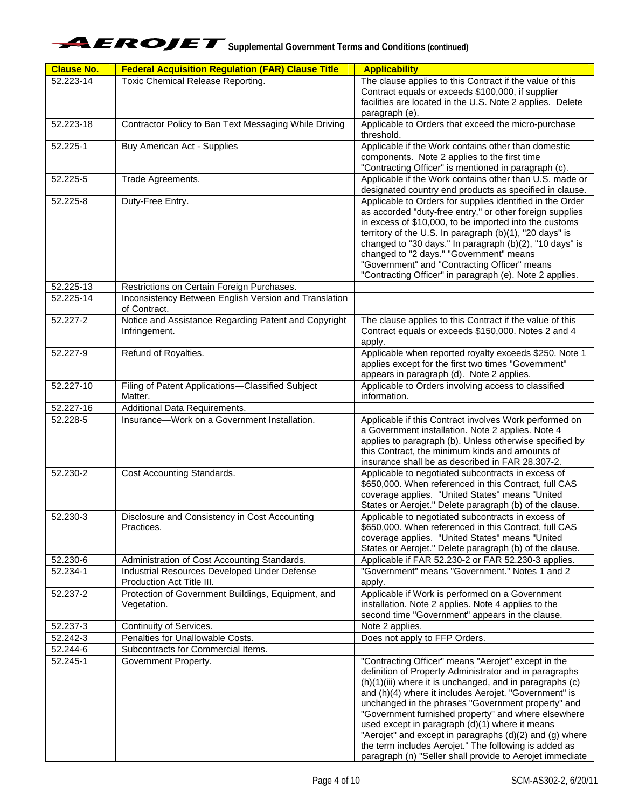| <b>Clause No.</b> | <b>Federal Acquisition Regulation (FAR) Clause Title</b>                        | <b>Applicability</b>                                                                                               |
|-------------------|---------------------------------------------------------------------------------|--------------------------------------------------------------------------------------------------------------------|
| 52.223-14         | <b>Toxic Chemical Release Reporting.</b>                                        | The clause applies to this Contract if the value of this                                                           |
|                   |                                                                                 | Contract equals or exceeds \$100,000, if supplier                                                                  |
|                   |                                                                                 | facilities are located in the U.S. Note 2 applies. Delete<br>paragraph (e).                                        |
| 52.223-18         | Contractor Policy to Ban Text Messaging While Driving                           | Applicable to Orders that exceed the micro-purchase                                                                |
|                   |                                                                                 | threshold.                                                                                                         |
| 52.225-1          | Buy American Act - Supplies                                                     | Applicable if the Work contains other than domestic                                                                |
|                   |                                                                                 | components. Note 2 applies to the first time                                                                       |
|                   |                                                                                 | "Contracting Officer" is mentioned in paragraph (c).                                                               |
| 52.225-5          | Trade Agreements.                                                               | Applicable if the Work contains other than U.S. made or<br>designated country end products as specified in clause. |
| 52.225-8          | Duty-Free Entry.                                                                | Applicable to Orders for supplies identified in the Order                                                          |
|                   |                                                                                 | as accorded "duty-free entry," or other foreign supplies                                                           |
|                   |                                                                                 | in excess of \$10,000, to be imported into the customs                                                             |
|                   |                                                                                 | territory of the U.S. In paragraph (b)(1), "20 days" is<br>changed to "30 days." In paragraph (b)(2), "10 days" is |
|                   |                                                                                 | changed to "2 days." "Government" means                                                                            |
|                   |                                                                                 | "Government" and "Contracting Officer" means                                                                       |
|                   |                                                                                 | "Contracting Officer" in paragraph (e). Note 2 applies.                                                            |
| 52.225-13         | Restrictions on Certain Foreign Purchases.                                      |                                                                                                                    |
| 52.225-14         | Inconsistency Between English Version and Translation<br>of Contract.           |                                                                                                                    |
| 52.227-2          | Notice and Assistance Regarding Patent and Copyright                            | The clause applies to this Contract if the value of this                                                           |
|                   | Infringement.                                                                   | Contract equals or exceeds \$150,000. Notes 2 and 4<br>apply.                                                      |
| 52.227-9          | Refund of Royalties.                                                            | Applicable when reported royalty exceeds \$250. Note 1                                                             |
|                   |                                                                                 | applies except for the first two times "Government"                                                                |
|                   |                                                                                 | appears in paragraph (d). Note 2 applies.                                                                          |
| 52.227-10         | Filing of Patent Applications-Classified Subject                                | Applicable to Orders involving access to classified                                                                |
| 52.227-16         | Matter.<br>Additional Data Requirements.                                        | information.                                                                                                       |
| 52.228-5          | Insurance-Work on a Government Installation.                                    | Applicable if this Contract involves Work performed on                                                             |
|                   |                                                                                 | a Government installation. Note 2 applies. Note 4                                                                  |
|                   |                                                                                 | applies to paragraph (b). Unless otherwise specified by                                                            |
|                   |                                                                                 | this Contract, the minimum kinds and amounts of<br>insurance shall be as described in FAR 28.307-2.                |
| 52.230-2          | Cost Accounting Standards.                                                      | Applicable to negotiated subcontracts in excess of                                                                 |
|                   |                                                                                 | \$650,000. When referenced in this Contract, full CAS                                                              |
|                   |                                                                                 | coverage applies. "United States" means "United                                                                    |
|                   |                                                                                 | States or Aerojet." Delete paragraph (b) of the clause.                                                            |
| 52.230-3          | Disclosure and Consistency in Cost Accounting<br>Practices.                     | Applicable to negotiated subcontracts in excess of<br>\$650,000. When referenced in this Contract, full CAS        |
|                   |                                                                                 | coverage applies. "United States" means "United                                                                    |
|                   |                                                                                 | States or Aerojet." Delete paragraph (b) of the clause.                                                            |
| 52.230-6          | Administration of Cost Accounting Standards.                                    | Applicable if FAR 52.230-2 or FAR 52.230-3 applies.                                                                |
| 52.234-1          | Industrial Resources Developed Under Defense                                    | "Government" means "Government." Notes 1 and 2                                                                     |
| 52.237-2          | Production Act Title III.<br>Protection of Government Buildings, Equipment, and | apply.<br>Applicable if Work is performed on a Government                                                          |
|                   | Vegetation.                                                                     | installation. Note 2 applies. Note 4 applies to the                                                                |
|                   |                                                                                 | second time "Government" appears in the clause.                                                                    |
| 52.237-3          | Continuity of Services.                                                         | Note 2 applies.                                                                                                    |
| 52.242-3          | Penalties for Unallowable Costs.                                                | Does not apply to FFP Orders.                                                                                      |
| 52.244-6          | Subcontracts for Commercial Items.                                              |                                                                                                                    |
| 52.245-1          | Government Property.                                                            | "Contracting Officer" means "Aerojet" except in the<br>definition of Property Administrator and in paragraphs      |
|                   |                                                                                 | (h)(1)(iii) where it is unchanged, and in paragraphs (c)                                                           |
|                   |                                                                                 | and (h)(4) where it includes Aerojet. "Government" is                                                              |
|                   |                                                                                 | unchanged in the phrases "Government property" and                                                                 |
|                   |                                                                                 | "Government furnished property" and where elsewhere<br>used except in paragraph (d)(1) where it means              |
|                   |                                                                                 | "Aerojet" and except in paragraphs (d)(2) and (g) where                                                            |
|                   |                                                                                 | the term includes Aerojet." The following is added as                                                              |
|                   |                                                                                 | paragraph (n) "Seller shall provide to Aerojet immediate                                                           |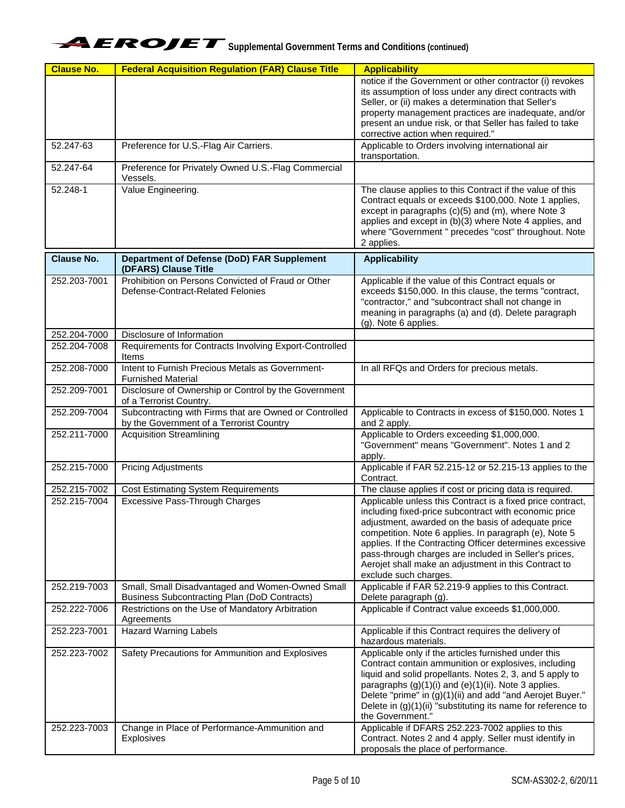

| <b>Clause No.</b> | <b>Federal Acquisition Regulation (FAR) Clause Title</b>                                                | <b>Applicability</b>                                                                                                                                                                                                                                                                                                                                                                                                                     |
|-------------------|---------------------------------------------------------------------------------------------------------|------------------------------------------------------------------------------------------------------------------------------------------------------------------------------------------------------------------------------------------------------------------------------------------------------------------------------------------------------------------------------------------------------------------------------------------|
|                   |                                                                                                         | notice if the Government or other contractor (i) revokes<br>its assumption of loss under any direct contracts with<br>Seller, or (ii) makes a determination that Seller's<br>property management practices are inadequate, and/or<br>present an undue risk, or that Seller has failed to take<br>corrective action when required."                                                                                                       |
| 52.247-63         | Preference for U.S.-Flag Air Carriers.                                                                  | Applicable to Orders involving international air<br>transportation.                                                                                                                                                                                                                                                                                                                                                                      |
| 52.247-64         | Preference for Privately Owned U.S.-Flag Commercial<br>Vessels.                                         |                                                                                                                                                                                                                                                                                                                                                                                                                                          |
| 52.248-1          | Value Engineering.                                                                                      | The clause applies to this Contract if the value of this<br>Contract equals or exceeds \$100,000. Note 1 applies,<br>except in paragraphs (c)(5) and (m), where Note 3<br>applies and except in (b)(3) where Note 4 applies, and<br>where "Government " precedes "cost" throughout. Note<br>2 applies.                                                                                                                                   |
| <b>Clause No.</b> | Department of Defense (DoD) FAR Supplement<br>(DFARS) Clause Title                                      | <b>Applicability</b>                                                                                                                                                                                                                                                                                                                                                                                                                     |
| 252.203-7001      | Prohibition on Persons Convicted of Fraud or Other<br>Defense-Contract-Related Felonies                 | Applicable if the value of this Contract equals or<br>exceeds \$150,000. In this clause, the terms "contract,<br>"contractor," and "subcontract shall not change in<br>meaning in paragraphs (a) and (d). Delete paragraph<br>$(g)$ . Note 6 applies.                                                                                                                                                                                    |
| 252.204-7000      | Disclosure of Information                                                                               |                                                                                                                                                                                                                                                                                                                                                                                                                                          |
| 252.204-7008      | Requirements for Contracts Involving Export-Controlled<br>Items                                         |                                                                                                                                                                                                                                                                                                                                                                                                                                          |
| 252.208-7000      | Intent to Furnish Precious Metals as Government-<br><b>Furnished Material</b>                           | In all RFQs and Orders for precious metals.                                                                                                                                                                                                                                                                                                                                                                                              |
| 252.209-7001      | Disclosure of Ownership or Control by the Government<br>of a Terrorist Country.                         |                                                                                                                                                                                                                                                                                                                                                                                                                                          |
| 252.209-7004      | Subcontracting with Firms that are Owned or Controlled<br>by the Government of a Terrorist Country      | Applicable to Contracts in excess of \$150,000. Notes 1<br>and 2 apply.                                                                                                                                                                                                                                                                                                                                                                  |
| 252.211-7000      | <b>Acquisition Streamlining</b>                                                                         | Applicable to Orders exceeding \$1,000,000.<br>"Government" means "Government". Notes 1 and 2<br>apply.                                                                                                                                                                                                                                                                                                                                  |
| 252.215-7000      | <b>Pricing Adjustments</b>                                                                              | Applicable if FAR 52.215-12 or 52.215-13 applies to the<br>Contract.                                                                                                                                                                                                                                                                                                                                                                     |
| 252.215-7002      | <b>Cost Estimating System Requirements</b>                                                              | The clause applies if cost or pricing data is required.                                                                                                                                                                                                                                                                                                                                                                                  |
| 252.215-7004      | Excessive Pass-Through Charges                                                                          | Applicable unless this Contract is a fixed price contract,<br>including fixed-price subcontract with economic price<br>adjustment, awarded on the basis of adequate price<br>competition. Note 6 applies. In paragraph (e), Note 5<br>applies. If the Contracting Officer determines excessive<br>pass-through charges are included in Seller's prices,<br>Aerojet shall make an adjustment in this Contract to<br>exclude such charges. |
| 252.219-7003      | Small, Small Disadvantaged and Women-Owned Small<br><b>Business Subcontracting Plan (DoD Contracts)</b> | Applicable if FAR 52.219-9 applies to this Contract.<br>Delete paragraph (g).                                                                                                                                                                                                                                                                                                                                                            |
| 252.222-7006      | Restrictions on the Use of Mandatory Arbitration<br>Agreements                                          | Applicable if Contract value exceeds \$1,000,000.                                                                                                                                                                                                                                                                                                                                                                                        |
| 252.223-7001      | <b>Hazard Warning Labels</b>                                                                            | Applicable if this Contract requires the delivery of<br>hazardous materials.                                                                                                                                                                                                                                                                                                                                                             |
| 252.223-7002      | Safety Precautions for Ammunition and Explosives                                                        | Applicable only if the articles furnished under this<br>Contract contain ammunition or explosives, including<br>liquid and solid propellants. Notes 2, 3, and 5 apply to<br>paragraphs (g)(1)(i) and (e)(1)(ii). Note 3 applies.<br>Delete "prime" in (g)(1)(ii) and add "and Aerojet Buyer."<br>Delete in $(g)(1)(ii)$ "substituting its name for reference to<br>the Government."                                                      |
| 252.223-7003      | Change in Place of Performance-Ammunition and<br>Explosives                                             | Applicable if DFARS 252.223-7002 applies to this<br>Contract. Notes 2 and 4 apply. Seller must identify in<br>proposals the place of performance.                                                                                                                                                                                                                                                                                        |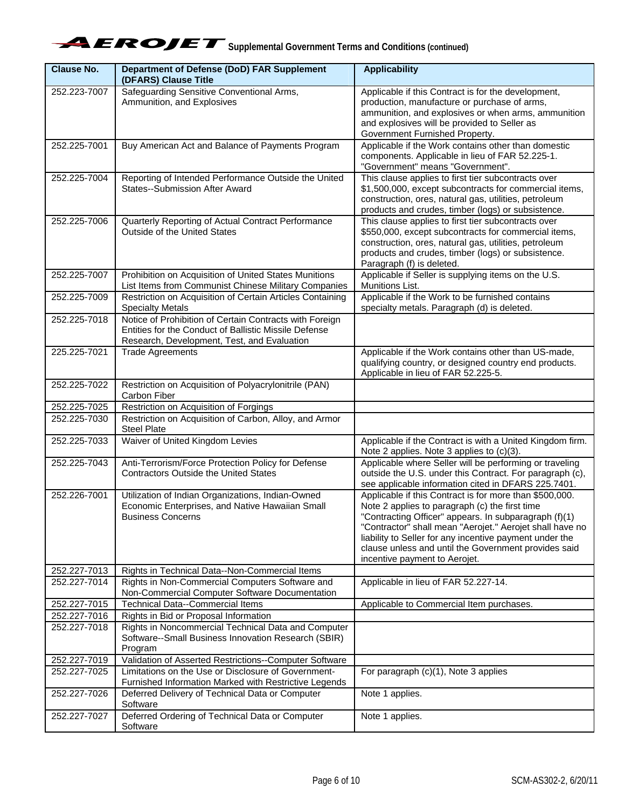| Clause No.                   | <b>Department of Defense (DoD) FAR Supplement</b>                                                                 | <b>Applicability</b>                                                                                        |
|------------------------------|-------------------------------------------------------------------------------------------------------------------|-------------------------------------------------------------------------------------------------------------|
| 252.223-7007                 | (DFARS) Clause Title<br>Safeguarding Sensitive Conventional Arms,                                                 | Applicable if this Contract is for the development,                                                         |
|                              | Ammunition, and Explosives                                                                                        | production, manufacture or purchase of arms,                                                                |
|                              |                                                                                                                   | ammunition, and explosives or when arms, ammunition                                                         |
|                              |                                                                                                                   | and explosives will be provided to Seller as                                                                |
|                              |                                                                                                                   | Government Furnished Property.                                                                              |
| 252.225-7001                 | Buy American Act and Balance of Payments Program                                                                  | Applicable if the Work contains other than domestic<br>components. Applicable in lieu of FAR 52.225-1.      |
|                              |                                                                                                                   | "Government" means "Government".                                                                            |
| 252.225-7004                 | Reporting of Intended Performance Outside the United                                                              | This clause applies to first tier subcontracts over                                                         |
|                              | <b>States--Submission After Award</b>                                                                             | \$1,500,000, except subcontracts for commercial items,                                                      |
|                              |                                                                                                                   | construction, ores, natural gas, utilities, petroleum                                                       |
|                              |                                                                                                                   | products and crudes, timber (logs) or subsistence.                                                          |
| 252.225-7006                 | Quarterly Reporting of Actual Contract Performance<br>Outside of the United States                                | This clause applies to first tier subcontracts over<br>\$550,000, except subcontracts for commercial items, |
|                              |                                                                                                                   | construction, ores, natural gas, utilities, petroleum                                                       |
|                              |                                                                                                                   | products and crudes, timber (logs) or subsistence.                                                          |
|                              |                                                                                                                   | Paragraph (f) is deleted.                                                                                   |
| 252.225-7007                 | Prohibition on Acquisition of United States Munitions                                                             | Applicable if Seller is supplying items on the U.S.<br>Munitions List.                                      |
| 252.225-7009                 | List Items from Communist Chinese Military Companies<br>Restriction on Acquisition of Certain Articles Containing | Applicable if the Work to be furnished contains                                                             |
|                              | <b>Specialty Metals</b>                                                                                           | specialty metals. Paragraph (d) is deleted.                                                                 |
| 252.225-7018                 | Notice of Prohibition of Certain Contracts with Foreign<br>Entities for the Conduct of Ballistic Missile Defense  |                                                                                                             |
|                              | Research, Development, Test, and Evaluation                                                                       |                                                                                                             |
| 225.225-7021                 | <b>Trade Agreements</b>                                                                                           | Applicable if the Work contains other than US-made,                                                         |
|                              |                                                                                                                   | qualifying country, or designed country end products.                                                       |
|                              |                                                                                                                   | Applicable in lieu of FAR 52.225-5.                                                                         |
| 252.225-7022                 | Restriction on Acquisition of Polyacrylonitrile (PAN)<br>Carbon Fiber                                             |                                                                                                             |
| 252.225-7025                 | Restriction on Acquisition of Forgings                                                                            |                                                                                                             |
| 252.225-7030                 | Restriction on Acquisition of Carbon, Alloy, and Armor<br><b>Steel Plate</b>                                      |                                                                                                             |
| 252.225-7033                 | Waiver of United Kingdom Levies                                                                                   | Applicable if the Contract is with a United Kingdom firm.<br>Note 2 applies. Note 3 applies to (c)(3).      |
| 252.225-7043                 | Anti-Terrorism/Force Protection Policy for Defense                                                                | Applicable where Seller will be performing or traveling                                                     |
|                              | <b>Contractors Outside the United States</b>                                                                      | outside the U.S. under this Contract. For paragraph (c),                                                    |
|                              |                                                                                                                   | see applicable information cited in DFARS 225.7401.                                                         |
| 252.226-7001                 | Utilization of Indian Organizations, Indian-Owned                                                                 | Applicable if this Contract is for more than \$500,000.                                                     |
|                              | Economic Enterprises, and Native Hawaiian Small<br><b>Business Concerns</b>                                       | Note 2 applies to paragraph (c) the first time<br>"Contracting Officer" appears. In subparagraph (f)(1)     |
|                              |                                                                                                                   | "Contractor" shall mean "Aerojet." Aerojet shall have no                                                    |
|                              |                                                                                                                   | liability to Seller for any incentive payment under the                                                     |
|                              |                                                                                                                   | clause unless and until the Government provides said                                                        |
|                              | Rights in Technical Data--Non-Commercial Items                                                                    | incentive payment to Aerojet.                                                                               |
| 252.227-7013<br>252.227-7014 | Rights in Non-Commercial Computers Software and                                                                   | Applicable in lieu of FAR 52.227-14.                                                                        |
|                              | Non-Commercial Computer Software Documentation                                                                    |                                                                                                             |
| 252.227-7015                 | <b>Technical Data--Commercial Items</b>                                                                           | Applicable to Commercial Item purchases.                                                                    |
| 252.227-7016<br>252.227-7018 | Rights in Bid or Proposal Information<br>Rights in Noncommercial Technical Data and Computer                      |                                                                                                             |
|                              | Software--Small Business Innovation Research (SBIR)<br>Program                                                    |                                                                                                             |
| 252.227-7019                 | Validation of Asserted Restrictions--Computer Software                                                            |                                                                                                             |
| 252.227-7025                 | Limitations on the Use or Disclosure of Government-                                                               | For paragraph (c)(1), Note 3 applies                                                                        |
|                              | Furnished Information Marked with Restrictive Legends                                                             |                                                                                                             |
| 252.227-7026                 | Deferred Delivery of Technical Data or Computer<br>Software                                                       | Note 1 applies.                                                                                             |
| 252.227-7027                 | Deferred Ordering of Technical Data or Computer<br>Software                                                       | Note 1 applies.                                                                                             |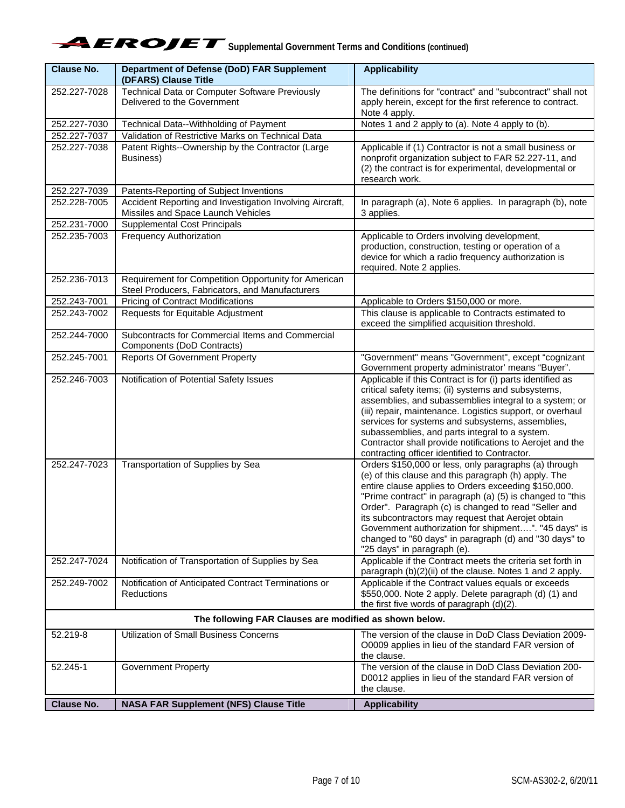| <b>Clause No.</b> | <b>Department of Defense (DoD) FAR Supplement</b><br>(DFARS) Clause Title                               | <b>Applicability</b>                                                                                                                                                                                                                                                                                                                                                                                                                                                                              |
|-------------------|---------------------------------------------------------------------------------------------------------|---------------------------------------------------------------------------------------------------------------------------------------------------------------------------------------------------------------------------------------------------------------------------------------------------------------------------------------------------------------------------------------------------------------------------------------------------------------------------------------------------|
| 252.227-7028      | Technical Data or Computer Software Previously<br>Delivered to the Government                           | The definitions for "contract" and "subcontract" shall not<br>apply herein, except for the first reference to contract.<br>Note 4 apply.                                                                                                                                                                                                                                                                                                                                                          |
| 252.227-7030      | Technical Data--Withholding of Payment                                                                  | Notes 1 and 2 apply to (a). Note 4 apply to (b).                                                                                                                                                                                                                                                                                                                                                                                                                                                  |
| 252.227-7037      | Validation of Restrictive Marks on Technical Data                                                       |                                                                                                                                                                                                                                                                                                                                                                                                                                                                                                   |
| 252.227-7038      | Patent Rights--Ownership by the Contractor (Large<br>Business)                                          | Applicable if $\overline{(1)}$ Contractor is not a small business or<br>nonprofit organization subject to FAR 52.227-11, and<br>(2) the contract is for experimental, developmental or<br>research work.                                                                                                                                                                                                                                                                                          |
| 252.227-7039      | Patents-Reporting of Subject Inventions                                                                 |                                                                                                                                                                                                                                                                                                                                                                                                                                                                                                   |
| 252.228-7005      | Accident Reporting and Investigation Involving Aircraft,<br>Missiles and Space Launch Vehicles          | In paragraph (a), Note 6 applies. In paragraph (b), note<br>3 applies.                                                                                                                                                                                                                                                                                                                                                                                                                            |
| 252.231-7000      | <b>Supplemental Cost Principals</b>                                                                     |                                                                                                                                                                                                                                                                                                                                                                                                                                                                                                   |
| 252.235-7003      | <b>Frequency Authorization</b>                                                                          | Applicable to Orders involving development,<br>production, construction, testing or operation of a<br>device for which a radio frequency authorization is<br>required. Note 2 applies.                                                                                                                                                                                                                                                                                                            |
| 252.236-7013      | Requirement for Competition Opportunity for American<br>Steel Producers, Fabricators, and Manufacturers |                                                                                                                                                                                                                                                                                                                                                                                                                                                                                                   |
| 252.243-7001      | <b>Pricing of Contract Modifications</b>                                                                | Applicable to Orders \$150,000 or more.                                                                                                                                                                                                                                                                                                                                                                                                                                                           |
| 252.243-7002      | Requests for Equitable Adjustment                                                                       | This clause is applicable to Contracts estimated to<br>exceed the simplified acquisition threshold.                                                                                                                                                                                                                                                                                                                                                                                               |
| 252.244-7000      | Subcontracts for Commercial Items and Commercial<br>Components (DoD Contracts)                          |                                                                                                                                                                                                                                                                                                                                                                                                                                                                                                   |
| 252.245-7001      | <b>Reports Of Government Property</b>                                                                   | "Government" means "Government", except "cognizant<br>Government property administrator' means "Buyer".                                                                                                                                                                                                                                                                                                                                                                                           |
| 252.246-7003      | Notification of Potential Safety Issues                                                                 | Applicable if this Contract is for (i) parts identified as<br>critical safety items; (ii) systems and subsystems,<br>assemblies, and subassemblies integral to a system; or<br>(iii) repair, maintenance. Logistics support, or overhaul<br>services for systems and subsystems, assemblies,<br>subassemblies, and parts integral to a system.<br>Contractor shall provide notifications to Aerojet and the<br>contracting officer identified to Contractor.                                      |
| 252.247-7023      | Transportation of Supplies by Sea                                                                       | Orders \$150,000 or less, only paragraphs (a) through<br>(e) of this clause and this paragraph (h) apply. The<br>entire clause applies to Orders exceeding \$150,000.<br>"Prime contract" in paragraph (a) (5) is changed to "this<br>Order". Paragraph (c) is changed to read "Seller and<br>its subcontractors may request that Aerojet obtain<br>Government authorization for shipment". "45 days" is<br>changed to "60 days" in paragraph (d) and "30 days" to<br>"25 days" in paragraph (e). |
| 252.247-7024      | Notification of Transportation of Supplies by Sea                                                       | Applicable if the Contract meets the criteria set forth in<br>paragraph (b)(2)(ii) of the clause. Notes 1 and 2 apply.                                                                                                                                                                                                                                                                                                                                                                            |
| 252.249-7002      | Notification of Anticipated Contract Terminations or<br>Reductions                                      | Applicable if the Contract values equals or exceeds<br>\$550,000. Note 2 apply. Delete paragraph (d) (1) and<br>the first five words of paragraph (d)(2).                                                                                                                                                                                                                                                                                                                                         |
|                   | The following FAR Clauses are modified as shown below.                                                  |                                                                                                                                                                                                                                                                                                                                                                                                                                                                                                   |
| 52.219-8          | Utilization of Small Business Concerns                                                                  | The version of the clause in DoD Class Deviation 2009-<br>O0009 applies in lieu of the standard FAR version of<br>the clause.                                                                                                                                                                                                                                                                                                                                                                     |
| 52.245-1          | <b>Government Property</b>                                                                              | The version of the clause in DoD Class Deviation 200-<br>D0012 applies in lieu of the standard FAR version of<br>the clause.                                                                                                                                                                                                                                                                                                                                                                      |
| <b>Clause No.</b> | <b>NASA FAR Supplement (NFS) Clause Title</b>                                                           | <b>Applicability</b>                                                                                                                                                                                                                                                                                                                                                                                                                                                                              |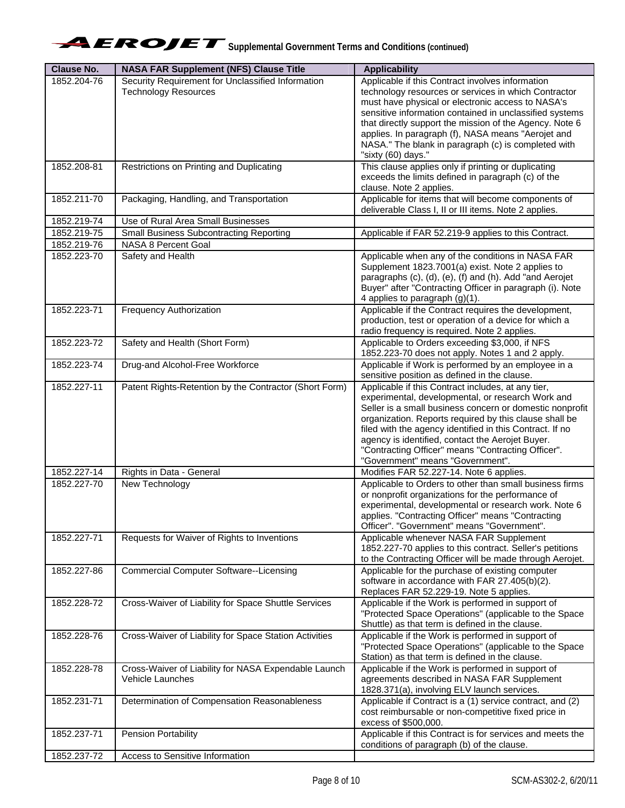| <b>Clause No.</b> | <b>NASA FAR Supplement (NFS) Clause Title</b>          | <b>Applicability</b>                                                                                          |
|-------------------|--------------------------------------------------------|---------------------------------------------------------------------------------------------------------------|
| 1852.204-76       | Security Requirement for Unclassified Information      | Applicable if this Contract involves information                                                              |
|                   | <b>Technology Resources</b>                            | technology resources or services in which Contractor                                                          |
|                   |                                                        | must have physical or electronic access to NASA's                                                             |
|                   |                                                        | sensitive information contained in unclassified systems                                                       |
|                   |                                                        | that directly support the mission of the Agency. Note 6<br>applies. In paragraph (f), NASA means "Aerojet and |
|                   |                                                        | NASA." The blank in paragraph (c) is completed with                                                           |
|                   |                                                        | "sixty (60) days."                                                                                            |
| 1852.208-81       | Restrictions on Printing and Duplicating               | This clause applies only if printing or duplicating                                                           |
|                   |                                                        | exceeds the limits defined in paragraph (c) of the                                                            |
|                   |                                                        | clause. Note 2 applies.                                                                                       |
| 1852.211-70       | Packaging, Handling, and Transportation                | Applicable for items that will become components of                                                           |
|                   |                                                        | deliverable Class I, II or III items. Note 2 applies.                                                         |
| 1852.219-74       | Use of Rural Area Small Businesses                     |                                                                                                               |
| 1852.219-75       | <b>Small Business Subcontracting Reporting</b>         | Applicable if FAR 52.219-9 applies to this Contract.                                                          |
| 1852.219-76       | NASA 8 Percent Goal                                    |                                                                                                               |
| 1852.223-70       | Safety and Health                                      | Applicable when any of the conditions in NASA FAR                                                             |
|                   |                                                        | Supplement 1823.7001(a) exist. Note 2 applies to                                                              |
|                   |                                                        | paragraphs (c), (d), (e), (f) and (h). Add "and Aerojet                                                       |
|                   |                                                        | Buyer" after "Contracting Officer in paragraph (i). Note                                                      |
|                   |                                                        | 4 applies to paragraph (g)(1).                                                                                |
| 1852.223-71       | Frequency Authorization                                | Applicable if the Contract requires the development,                                                          |
|                   |                                                        | production, test or operation of a device for which a                                                         |
|                   |                                                        | radio frequency is required. Note 2 applies.                                                                  |
| 1852.223-72       | Safety and Health (Short Form)                         | Applicable to Orders exceeding \$3,000, if NFS                                                                |
|                   |                                                        | 1852.223-70 does not apply. Notes 1 and 2 apply.                                                              |
| 1852.223-74       | Drug-and Alcohol-Free Workforce                        | Applicable if Work is performed by an employee in a                                                           |
|                   |                                                        | sensitive position as defined in the clause.                                                                  |
| 1852.227-11       | Patent Rights-Retention by the Contractor (Short Form) | Applicable if this Contract includes, at any tier,<br>experimental, developmental, or research Work and       |
|                   |                                                        | Seller is a small business concern or domestic nonprofit                                                      |
|                   |                                                        | organization. Reports required by this clause shall be                                                        |
|                   |                                                        | filed with the agency identified in this Contract. If no                                                      |
|                   |                                                        | agency is identified, contact the Aerojet Buyer.                                                              |
|                   |                                                        | "Contracting Officer" means "Contracting Officer".                                                            |
|                   |                                                        | "Government" means "Government".                                                                              |
| 1852.227-14       | Rights in Data - General                               | Modifies FAR 52.227-14. Note 6 applies.                                                                       |
| 1852.227-70       | New Technology                                         | Applicable to Orders to other than small business firms                                                       |
|                   |                                                        | or nonprofit organizations for the performance of                                                             |
|                   |                                                        | experimental, developmental or research work. Note 6                                                          |
|                   |                                                        | applies. "Contracting Officer" means "Contracting                                                             |
|                   |                                                        | Officer". "Government" means "Government".                                                                    |
| 1852.227-71       | Requests for Waiver of Rights to Inventions            | Applicable whenever NASA FAR Supplement                                                                       |
|                   |                                                        | 1852.227-70 applies to this contract. Seller's petitions                                                      |
|                   |                                                        | to the Contracting Officer will be made through Aerojet.                                                      |
| 1852.227-86       | <b>Commercial Computer Software--Licensing</b>         | Applicable for the purchase of existing computer                                                              |
|                   |                                                        | software in accordance with FAR 27.405(b)(2).                                                                 |
|                   |                                                        | Replaces FAR 52.229-19. Note 5 applies.                                                                       |
| 1852.228-72       | Cross-Waiver of Liability for Space Shuttle Services   | Applicable if the Work is performed in support of                                                             |
|                   |                                                        | "Protected Space Operations" (applicable to the Space<br>Shuttle) as that term is defined in the clause.      |
| 1852.228-76       | Cross-Waiver of Liability for Space Station Activities | Applicable if the Work is performed in support of                                                             |
|                   |                                                        | "Protected Space Operations" (applicable to the Space                                                         |
|                   |                                                        | Station) as that term is defined in the clause.                                                               |
| 1852.228-78       | Cross-Waiver of Liability for NASA Expendable Launch   | Applicable if the Work is performed in support of                                                             |
|                   | Vehicle Launches                                       | agreements described in NASA FAR Supplement                                                                   |
|                   |                                                        | 1828.371(a), involving ELV launch services.                                                                   |
| 1852.231-71       | Determination of Compensation Reasonableness           | Applicable if Contract is a (1) service contract, and (2)                                                     |
|                   |                                                        | cost reimbursable or non-competitive fixed price in                                                           |
|                   |                                                        | excess of \$500,000.                                                                                          |
| 1852.237-71       | <b>Pension Portability</b>                             | Applicable if this Contract is for services and meets the                                                     |
|                   |                                                        | conditions of paragraph (b) of the clause.                                                                    |
| 1852.237-72       | Access to Sensitive Information                        |                                                                                                               |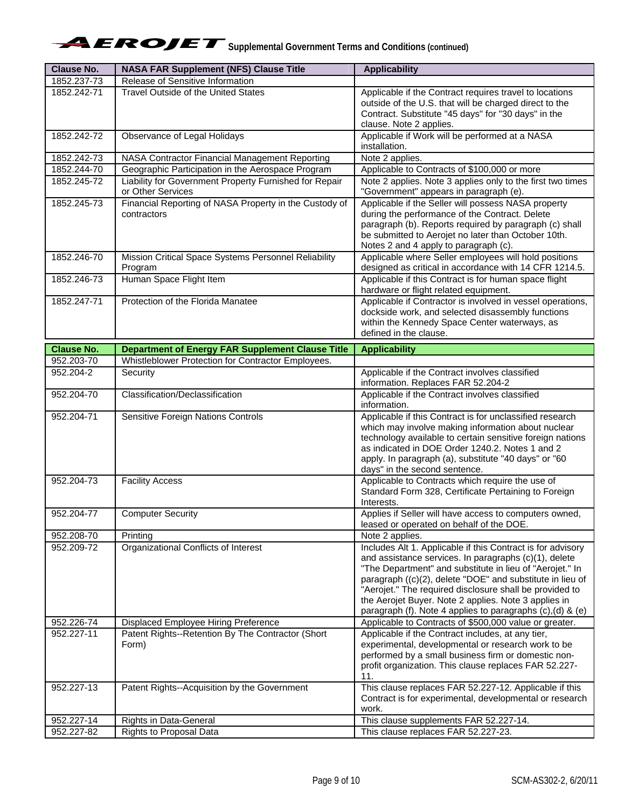| <b>Clause No.</b> | <b>NASA FAR Supplement (NFS) Clause Title</b>                               | <b>Applicability</b>                                                                                                                                                                                                                                                                                                                                                                                                          |
|-------------------|-----------------------------------------------------------------------------|-------------------------------------------------------------------------------------------------------------------------------------------------------------------------------------------------------------------------------------------------------------------------------------------------------------------------------------------------------------------------------------------------------------------------------|
| 1852.237-73       | Release of Sensitive Information                                            |                                                                                                                                                                                                                                                                                                                                                                                                                               |
| 1852.242-71       | <b>Travel Outside of the United States</b>                                  | Applicable if the Contract requires travel to locations<br>outside of the U.S. that will be charged direct to the<br>Contract. Substitute "45 days" for "30 days" in the<br>clause. Note 2 applies.                                                                                                                                                                                                                           |
| 1852.242-72       | Observance of Legal Holidays                                                | Applicable if Work will be performed at a NASA<br>installation.                                                                                                                                                                                                                                                                                                                                                               |
| 1852.242-73       | NASA Contractor Financial Management Reporting                              | Note 2 applies.                                                                                                                                                                                                                                                                                                                                                                                                               |
| 1852.244-70       | Geographic Participation in the Aerospace Program                           | Applicable to Contracts of \$100,000 or more                                                                                                                                                                                                                                                                                                                                                                                  |
| 1852.245-72       | Liability for Government Property Furnished for Repair<br>or Other Services | Note 2 applies. Note 3 applies only to the first two times<br>"Government" appears in paragraph (e).                                                                                                                                                                                                                                                                                                                          |
| 1852.245-73       | Financial Reporting of NASA Property in the Custody of<br>contractors       | Applicable if the Seller will possess NASA property<br>during the performance of the Contract. Delete<br>paragraph (b). Reports required by paragraph (c) shall<br>be submitted to Aerojet no later than October 10th.<br>Notes 2 and 4 apply to paragraph (c).                                                                                                                                                               |
| 1852.246-70       | Mission Critical Space Systems Personnel Reliability<br>Program             | Applicable where Seller employees will hold positions<br>designed as critical in accordance with 14 CFR 1214.5.                                                                                                                                                                                                                                                                                                               |
| 1852.246-73       | Human Space Flight Item                                                     | Applicable if this Contract is for human space flight<br>hardware or flight related equipment.                                                                                                                                                                                                                                                                                                                                |
| 1852.247-71       | Protection of the Florida Manatee                                           | Applicable if Contractor is involved in vessel operations,<br>dockside work, and selected disassembly functions<br>within the Kennedy Space Center waterways, as<br>defined in the clause.                                                                                                                                                                                                                                    |
| <b>Clause No.</b> | <b>Department of Energy FAR Supplement Clause Title</b>                     | <b>Applicability</b>                                                                                                                                                                                                                                                                                                                                                                                                          |
| 952.203-70        | Whistleblower Protection for Contractor Employees.                          |                                                                                                                                                                                                                                                                                                                                                                                                                               |
| 952.204-2         | Security                                                                    | Applicable if the Contract involves classified<br>information. Replaces FAR 52.204-2                                                                                                                                                                                                                                                                                                                                          |
| 952.204-70        | Classification/Declassification                                             | Applicable if the Contract involves classified<br>information.                                                                                                                                                                                                                                                                                                                                                                |
| 952.204-71        | Sensitive Foreign Nations Controls                                          | Applicable if this Contract is for unclassified research<br>which may involve making information about nuclear<br>technology available to certain sensitive foreign nations<br>as indicated in DOE Order 1240.2. Notes 1 and 2<br>apply. In paragraph (a), substitute "40 days" or "60<br>days" in the second sentence.                                                                                                       |
| 952.204-73        | <b>Facility Access</b>                                                      | Applicable to Contracts which require the use of<br>Standard Form 328, Certificate Pertaining to Foreign<br>Interests.                                                                                                                                                                                                                                                                                                        |
| 952.204-77        | <b>Computer Security</b>                                                    | Applies if Seller will have access to computers owned,<br>leased or operated on behalf of the DOE.                                                                                                                                                                                                                                                                                                                            |
| 952.208-70        | Printing                                                                    | Note 2 applies.                                                                                                                                                                                                                                                                                                                                                                                                               |
| 952.209-72        | Organizational Conflicts of Interest                                        | Includes Alt 1. Applicable if this Contract is for advisory<br>and assistance services. In paragraphs (c)(1), delete<br>"The Department" and substitute in lieu of "Aerojet." In<br>paragraph ((c)(2), delete "DOE" and substitute in lieu of<br>"Aerojet." The required disclosure shall be provided to<br>the Aerojet Buyer. Note 2 applies. Note 3 applies in<br>paragraph (f). Note 4 applies to paragraphs (c),(d) & (e) |
| 952.226-74        | Displaced Employee Hiring Preference                                        | Applicable to Contracts of \$500,000 value or greater.                                                                                                                                                                                                                                                                                                                                                                        |
| 952.227-11        | Patent Rights--Retention By The Contractor (Short<br>Form)                  | Applicable if the Contract includes, at any tier,<br>experimental, developmental or research work to be<br>performed by a small business firm or domestic non-<br>profit organization. This clause replaces FAR 52.227-<br>11.                                                                                                                                                                                                |
| 952.227-13        | Patent Rights--Acquisition by the Government                                | This clause replaces FAR 52.227-12. Applicable if this<br>Contract is for experimental, developmental or research<br>work.                                                                                                                                                                                                                                                                                                    |
| 952.227-14        | Rights in Data-General                                                      | This clause supplements FAR 52.227-14.                                                                                                                                                                                                                                                                                                                                                                                        |
| 952.227-82        | <b>Rights to Proposal Data</b>                                              | This clause replaces FAR 52.227-23.                                                                                                                                                                                                                                                                                                                                                                                           |